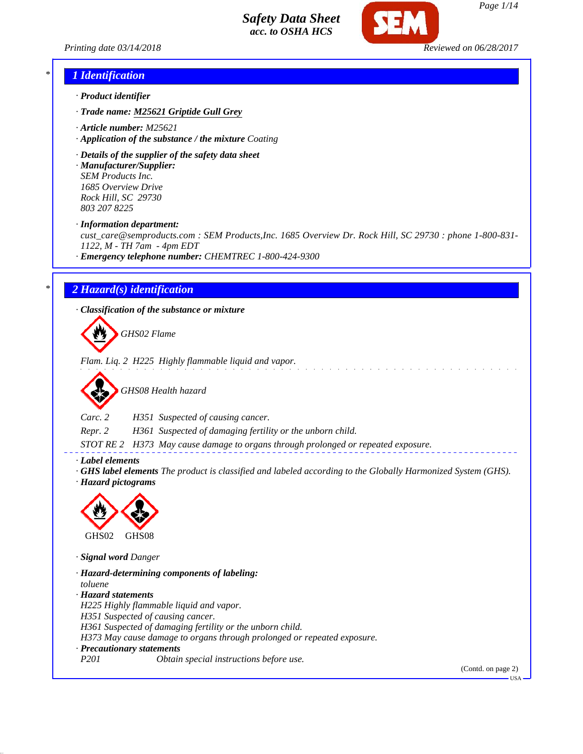

*Page 1/14*

*Printing date 03/14/2018 Reviewed on 06/28/2017*

#### *\* 1 Identification*

- *· Product identifier*
- *· Trade name: M25621 Griptide Gull Grey*
- *· Article number: M25621*
- *· Application of the substance / the mixture Coating*
- *· Details of the supplier of the safety data sheet*

*· Manufacturer/Supplier: SEM Products Inc. 1685 Overview Drive Rock Hill, SC 29730 803 207 8225*

*· Information department:*

*cust\_care@semproducts.com : SEM Products,Inc. 1685 Overview Dr. Rock Hill, SC 29730 : phone 1-800-831- 1122, M - TH 7am - 4pm EDT*

*· Emergency telephone number: CHEMTREC 1-800-424-9300*

### *\* 2 Hazard(s) identification*

*· Classification of the substance or mixture*

*GHS02 Flame*

*Flam. Liq. 2 H225 Highly flammable liquid and vapor.*



*Carc. 2 H351 Suspected of causing cancer.*

*Repr. 2 H361 Suspected of damaging fertility or the unborn child.*

*STOT RE 2 H373 May cause damage to organs through prolonged or repeated exposure.*

*· Label elements*

*· GHS label elements The product is classified and labeled according to the Globally Harmonized System (GHS).*

*· Hazard pictograms*



*· Signal word Danger*

*· Hazard-determining components of labeling: toluene · Hazard statements H225 Highly flammable liquid and vapor. H351 Suspected of causing cancer. H361 Suspected of damaging fertility or the unborn child. H373 May cause damage to organs through prolonged or repeated exposure. · Precautionary statements P201 Obtain special instructions before use.*

(Contd. on page 2)

USA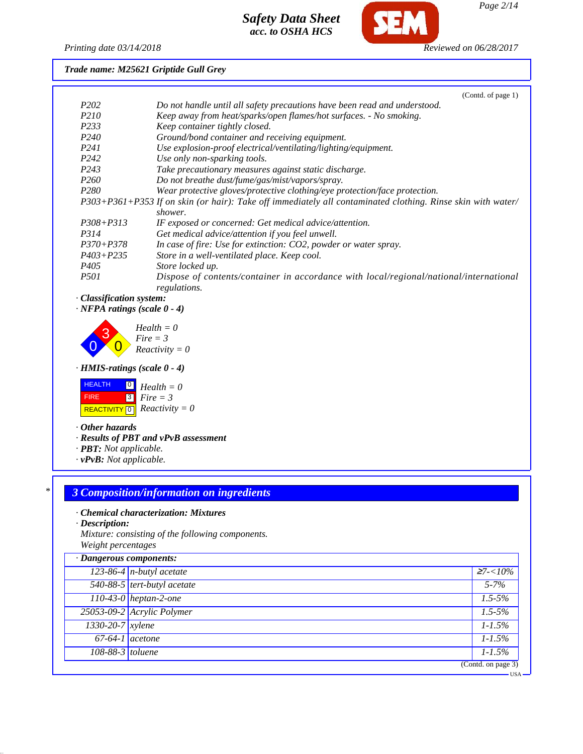

*Page 2/14*

#### *Printing date 03/14/2018 Reviewed on 06/28/2017*

*Trade name: M25621 Griptide Gull Grey*

|                   | (Contd. of page 1)                                                                                          |
|-------------------|-------------------------------------------------------------------------------------------------------------|
| P <sub>202</sub>  | Do not handle until all safety precautions have been read and understood.                                   |
| P <sub>210</sub>  | Keep away from heat/sparks/open flames/hot surfaces. - No smoking.                                          |
| P233              | Keep container tightly closed.                                                                              |
| P <sub>240</sub>  | Ground/bond container and receiving equipment.                                                              |
| P <sub>24</sub> 1 | Use explosion-proof electrical/ventilating/lighting/equipment.                                              |
| P <sub>242</sub>  | Use only non-sparking tools.                                                                                |
| P <sub>243</sub>  | Take precautionary measures against static discharge.                                                       |
| <i>P260</i>       | Do not breathe dust/fume/gas/mist/vapors/spray.                                                             |
| P <sub>280</sub>  | Wear protective gloves/protective clothing/eye protection/face protection.                                  |
|                   | P303+P361+P353 If on skin (or hair): Take off immediately all contaminated clothing. Rinse skin with water/ |
|                   | shower.                                                                                                     |
| $P308 + P313$     | IF exposed or concerned: Get medical advice/attention.                                                      |
| P314              | Get medical advice/attention if you feel unwell.                                                            |
| $P370 + P378$     | In case of fire: Use for extinction: CO2, powder or water spray.                                            |
| $P403 + P235$     | Store in a well-ventilated place. Keep cool.                                                                |
| P405              | Store locked up.                                                                                            |
| <i>P501</i>       | Dispose of contents/container in accordance with local/regional/national/international<br>regulations.      |

### *· Classification system:*

*· NFPA ratings (scale 0 - 4)*



*· HMIS-ratings (scale 0 - 4)*



*· Other hazards*

*· Results of PBT and vPvB assessment*

- *· PBT: Not applicable.*
- *· vPvB: Not applicable.*

# *\* 3 Composition/information on ingredients*

#### *· Chemical characterization: Mixtures*

*· Description:*

*Mixture: consisting of the following components. Weight percentages*

| · Dangerous components: |                             |                    |
|-------------------------|-----------------------------|--------------------|
|                         | $123-86-4$ n-butyl acetate  | $\geq 7 < 10\%$    |
|                         | 540-88-5 tert-butyl acetate | $5 - 7\%$          |
|                         | $110-43-0$ heptan-2-one     | $1.5 - 5\%$        |
|                         | 25053-09-2 Acrylic Polymer  | $1.5 - 5\%$        |
| 1330-20-7 xylene        |                             | $1 - 1.5\%$        |
| $67-64-1$ acetone       |                             | $1 - 1.5\%$        |
| 108-88-3 toluene        |                             | $1 - 1.5\%$        |
|                         |                             | (Contd. on page 3) |
|                         |                             | •USA               |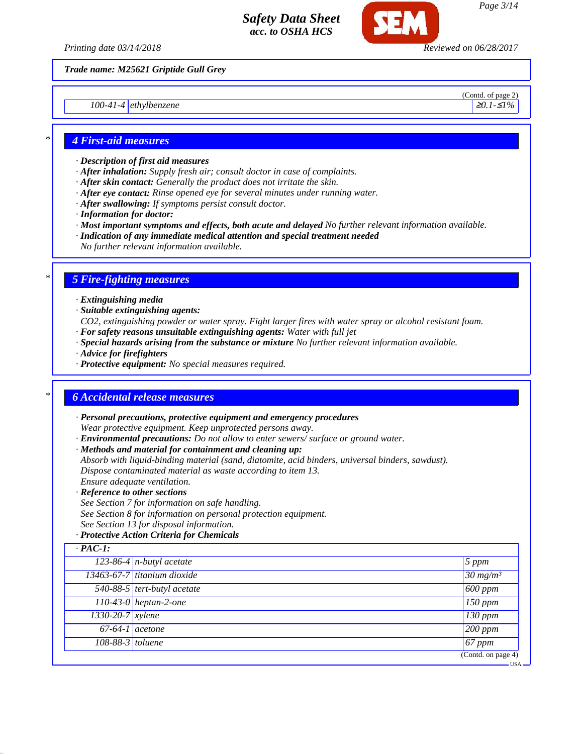

*Printing date 03/14/2018 Reviewed on 06/28/2017*

*Trade name: M25621 Griptide Gull Grey*

*100-41-4* ethylbenzene **≥***0.1-≤1%* **≥***0.1-≤1%* 

(Contd. of page 2)

#### *\* 4 First-aid measures*

- *· Description of first aid measures*
- *· After inhalation: Supply fresh air; consult doctor in case of complaints.*
- *· After skin contact: Generally the product does not irritate the skin.*
- *· After eye contact: Rinse opened eye for several minutes under running water.*
- *· After swallowing: If symptoms persist consult doctor.*
- *· Information for doctor:*
- *· Most important symptoms and effects, both acute and delayed No further relevant information available.*
- *· Indication of any immediate medical attention and special treatment needed*
- *No further relevant information available.*

#### *\* 5 Fire-fighting measures*

- *· Extinguishing media*
- *· Suitable extinguishing agents:*
- *CO2, extinguishing powder or water spray. Fight larger fires with water spray or alcohol resistant foam.*
- *· For safety reasons unsuitable extinguishing agents: Water with full jet*
- *· Special hazards arising from the substance or mixture No further relevant information available.*
- *· Advice for firefighters*
- *· Protective equipment: No special measures required.*

#### *\* 6 Accidental release measures*

- *· Personal precautions, protective equipment and emergency procedures Wear protective equipment. Keep unprotected persons away.*
- *· Environmental precautions: Do not allow to enter sewers/ surface or ground water.*
- *· Methods and material for containment and cleaning up:*
- *Absorb with liquid-binding material (sand, diatomite, acid binders, universal binders, sawdust). Dispose contaminated material as waste according to item 13.*
- *Ensure adequate ventilation.*
- *· Reference to other sections*
- *See Section 7 for information on safe handling.*
- *See Section 8 for information on personal protection equipment.*
- *See Section 13 for disposal information.*

#### *· Protective Action Criteria for Chemicals*

| 123-86-4 $n$ -butyl acetate              | 5 ppm               |
|------------------------------------------|---------------------|
| 13463-67-7 titanium dioxide              | $30 \frac{mg}{m^3}$ |
| $\overline{540-88-5}$ tert-butyl acetate | $600$ ppm           |
| 110-43-0 heptan-2-one                    | $150$ ppm           |
| 1330-20-7 xylene                         | $130$ ppm           |
| $67-64-1$ acetone                        | $200$ ppm           |
| 108-88-3 toluene                         | $67$ ppm            |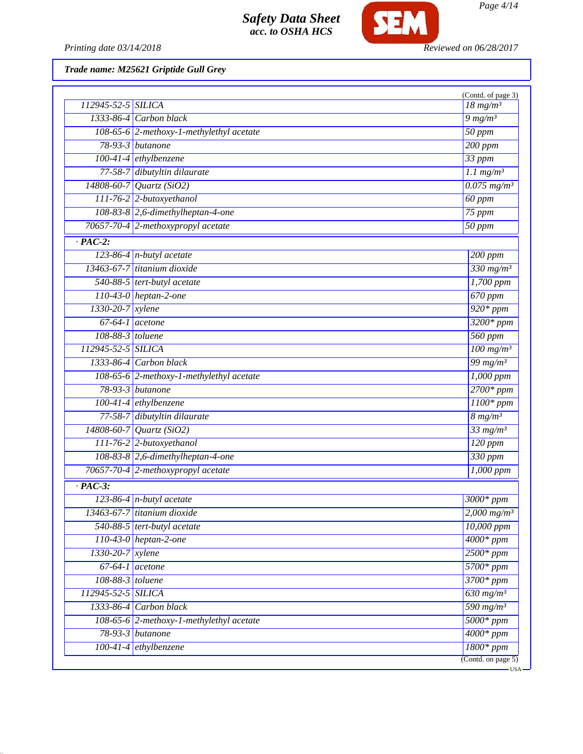

*Page 4/14*

*Printing date 03/14/2018 Reviewed on 06/28/2017*

*Trade name: M25621 Griptide Gull Grey*

|                                          |                                          | (Contd. of page 3)                          |
|------------------------------------------|------------------------------------------|---------------------------------------------|
| 112945-52-5 SILICA                       |                                          | $18 \ mg/m3$                                |
|                                          | $1333-86-4$ Carbon black                 | $9$ mg/m <sup>3</sup>                       |
| 108-65-6 2-methoxy-1-methylethyl acetate |                                          | $50$ ppm                                    |
|                                          | 78-93-3 butanone                         | $\overline{200}$ ppm                        |
|                                          | 100-41-4 ethylbenzene                    | $33$ ppm                                    |
|                                          | 77-58-7 dibutyltin dilaurate             | $1.1$ mg/m <sup>3</sup>                     |
|                                          | $14808 - 60 - 7$ <i>Quartz</i> (SiO2)    | $0.075$ mg/m <sup>3</sup>                   |
|                                          | 111-76-2 2-butoxyethanol                 | $60$ ppm                                    |
|                                          | $108-83-8$ 2,6-dimethylheptan-4-one      | 75 ppm                                      |
|                                          | 70657-70-4 2-methoxypropyl acetate       | $50$ ppm                                    |
| $\overline{PAC-2}$ :                     |                                          |                                             |
|                                          | 123-86-4 $n$ -butyl acetate              | $\overline{200}$ ppm                        |
|                                          | 13463-67-7 titanium dioxide              | $330$ mg/m <sup>3</sup>                     |
|                                          | 540-88-5 tert-butyl acetate              | $1,700$ ppm                                 |
|                                          | 110-43-0 heptan-2-one                    | $\overline{670$ ppm                         |
| 1330-20-7 xylene                         |                                          | $920*ppm$                                   |
| $67-64-1$ acetone                        |                                          | $3200*ppm$                                  |
| 108-88-3 toluene                         |                                          | $560$ ppm                                   |
| 112945-52-5 SILICA                       |                                          | $100$ mg/m <sup>3</sup>                     |
|                                          | $1333-86-4$ Carbon black                 | $\frac{99 \, \text{mg}}{\text{m} \text{g}}$ |
|                                          | 108-65-6 2-methoxy-1-methylethyl acetate | $\overline{1,000~ppm}$                      |
|                                          | 78-93-3 <i>butanone</i>                  | $2700*ppm$                                  |
|                                          | $100-41-4$ ethylbenzene                  | $1100*$ ppm                                 |
|                                          | 77-58-7 dibutyltin dilaurate             | $8 \, mg/m^3$                               |
|                                          | $14808 - 60 - 7$ <i>Quartz</i> (SiO2)    | $\frac{33 \text{ mg/m}^3}{ }$               |
|                                          | 111-76-2 2-butoxyethanol                 | $\overline{120~ppm}$                        |
|                                          | 108-83-8 2,6-dimethylheptan-4-one        | $330$ ppm                                   |
|                                          | 70657-70-4 2-methoxypropyl acetate       | $1,000$ ppm                                 |
| $\cdot$ PAC-3:                           |                                          |                                             |
|                                          | $\sqrt{123-86-4}$ n-butyl acetate        | $3000*$ ppm                                 |
|                                          | 13463-67-7 titanium dioxide              | $2,000 \,\mathrm{mg/m^3}$                   |
|                                          | $\overline{540-88-5}$ tert-butyl acetate | 10,000 ppm                                  |
|                                          | $110-43-0$ heptan-2-one                  | $\frac{4000*}{ppm}$                         |
| 1330-20-7 xylene                         |                                          | $2500*ppm$                                  |
| $\overline{67-64-1}$ acetone             |                                          | 5700* ppm                                   |
| 108-88-3 toluene                         |                                          | $3700*ppm$                                  |
| 112945-52-5 SILICA                       |                                          | $630$ mg/m <sup>3</sup>                     |
|                                          | 1333-86-4 Carbon black                   | 590 mg/m <sup>3</sup>                       |
|                                          | 108-65-6 2-methoxy-1-methylethyl acetate | $\overline{5000*ppm}$                       |
|                                          | 78-93-3 butanone                         | $4000*$ ppm                                 |
|                                          | $100-41-4$ ethylbenzene                  | $1800*ppm$                                  |
|                                          |                                          | (Contd. on page 5)                          |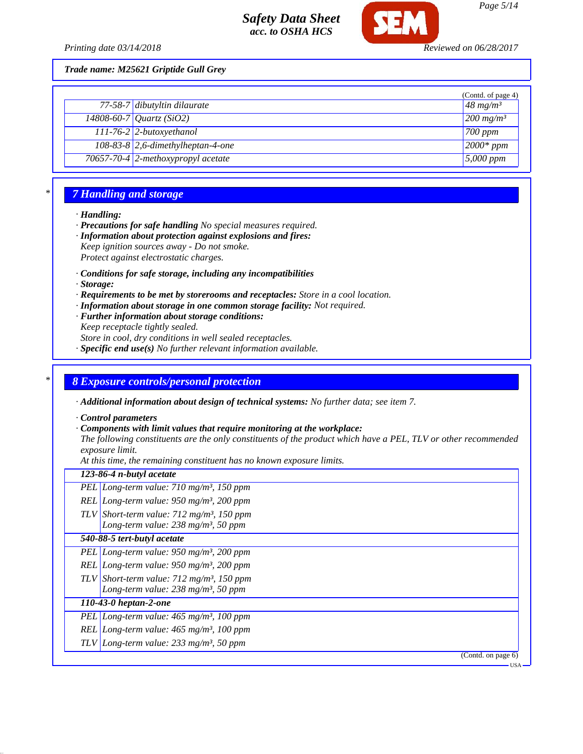

*Trade name: M25621 Griptide Gull Grey*

|                                     | (Contd. of page 4)      |
|-------------------------------------|-------------------------|
| 77-58-7 dibutyltin dilaurate        | $48 \text{ mg/m}^3$     |
| 14808-60-7 Quartz (SiO2)            | $200$ mg/m <sup>3</sup> |
| $111-76-2$ 2-butoxyethanol          | $\sqrt{700 \ ppm}$      |
| $108-83-8$ 2,6-dimethylheptan-4-one | $2000*$ ppm             |
| 70657-70-4 2-methoxypropyl acetate  | $5,000$ ppm             |

### *\* 7 Handling and storage*

#### *· Handling:*

- *· Precautions for safe handling No special measures required.*
- *· Information about protection against explosions and fires:*
- *Keep ignition sources away Do not smoke.*
- *Protect against electrostatic charges.*
- *· Conditions for safe storage, including any incompatibilities*
- *· Storage:*
- *· Requirements to be met by storerooms and receptacles: Store in a cool location.*
- *· Information about storage in one common storage facility: Not required.*
- *· Further information about storage conditions:*
- *Keep receptacle tightly sealed.*

*Store in cool, dry conditions in well sealed receptacles.*

*· Specific end use(s) No further relevant information available.*

#### *\* 8 Exposure controls/personal protection*

*· Additional information about design of technical systems: No further data; see item 7.*

*· Control parameters*

*· Components with limit values that require monitoring at the workplace:*

*The following constituents are the only constituents of the product which have a PEL, TLV or other recommended exposure limit.*

*At this time, the remaining constituent has no known exposure limits.*

| 123-86-4 n-butyl acetate                                                                                  |
|-----------------------------------------------------------------------------------------------------------|
| PEL Long-term value: $710$ mg/m <sup>3</sup> , 150 ppm                                                    |
| REL Long-term value: $950$ mg/m <sup>3</sup> , 200 ppm                                                    |
| TLV Short-term value: $712 \text{ mg/m}^3$ , 150 ppm<br>Long-term value: $238$ mg/m <sup>3</sup> , 50 ppm |
| 540-88-5 tert-butyl acetate                                                                               |
| PEL Long-term value: $950$ mg/m <sup>3</sup> , 200 ppm                                                    |
| REL Long-term value: $950$ mg/m <sup>3</sup> , 200 ppm                                                    |
| TLV Short-term value: $712 \text{ mg/m}^3$ , 150 ppm<br>Long-term value: $238$ mg/m <sup>3</sup> , 50 ppm |
| $110-43-0$ heptan-2-one                                                                                   |
| PEL Long-term value: $465$ mg/m <sup>3</sup> , 100 ppm                                                    |
| REL Long-term value: $465$ mg/m <sup>3</sup> , 100 ppm                                                    |
| TLV Long-term value: $233$ mg/m <sup>3</sup> , 50 ppm                                                     |
| (Contd. on page 6)                                                                                        |

USA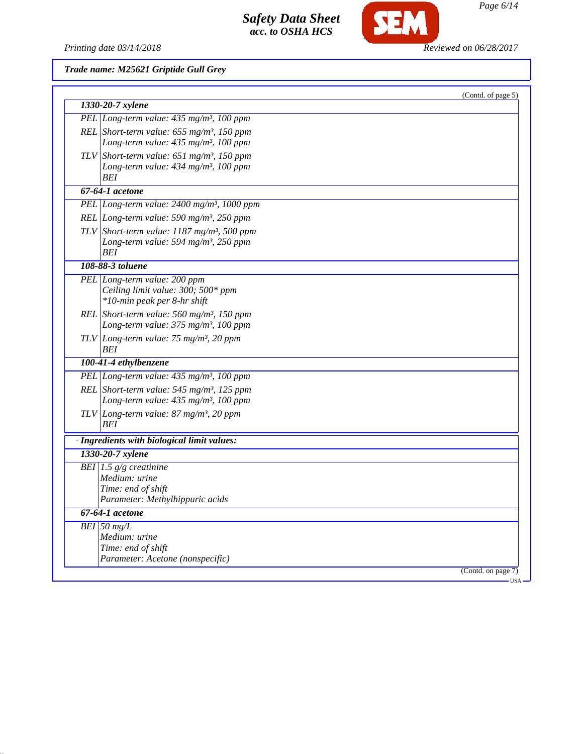

SEM

*Trade name: M25621 Griptide Gull Grey*

| 1330-20-7 xylene                                                                                                    | (Contd. of page 5) |
|---------------------------------------------------------------------------------------------------------------------|--------------------|
| PEL Long-term value: 435 mg/m <sup>3</sup> , 100 ppm                                                                |                    |
| REL Short-term value: $655$ mg/m <sup>3</sup> , 150 ppm<br>Long-term value: 435 mg/m <sup>3</sup> , 100 ppm         |                    |
| TLV Short-term value: $651$ mg/m <sup>3</sup> , 150 ppm<br>Long-term value: 434 mg/m <sup>3</sup> , 100 ppm<br>BEI  |                    |
| 67-64-1 acetone                                                                                                     |                    |
| PEL Long-term value: 2400 mg/m <sup>3</sup> , 1000 ppm                                                              |                    |
| REL Long-term value: 590 mg/m <sup>3</sup> , 250 ppm                                                                |                    |
| TLV Short-term value: $1187$ mg/m <sup>3</sup> , 500 ppm<br>Long-term value: 594 mg/m <sup>3</sup> , 250 ppm<br>BEI |                    |
| 108-88-3 toluene                                                                                                    |                    |
| PEL Long-term value: 200 ppm<br>Ceiling limit value: 300; 500* ppm<br>*10-min peak per 8-hr shift                   |                    |
| REL Short-term value: 560 mg/m <sup>3</sup> , 150 ppm<br>Long-term value: 375 mg/m <sup>3</sup> , 100 ppm           |                    |
| TLV Long-term value: $75 \text{ mg/m}^3$ , 20 ppm<br>BEI                                                            |                    |
| 100-41-4 ethylbenzene                                                                                               |                    |
| PEL Long-term value: 435 mg/m <sup>3</sup> , 100 ppm                                                                |                    |
| REL Short-term value: $545$ mg/m <sup>3</sup> , 125 ppm<br>Long-term value: 435 mg/m <sup>3</sup> , 100 ppm         |                    |
| TLV Long-term value: $87 \text{ mg/m}^3$ , 20 ppm<br><b>BEI</b>                                                     |                    |
| · Ingredients with biological limit values:                                                                         |                    |
| 1330-20-7 xylene                                                                                                    |                    |
| BEI 1.5 $g/g$ creatinine<br>Medium: urine<br>Time: end of shift<br>Parameter: Methylhippuric acids                  |                    |
| 67-64-1 acetone                                                                                                     |                    |
| $BEI$ 50 mg/L<br>Medium: urine<br>Time: end of shift<br>Parameter: Acetone (nonspecific)                            |                    |
|                                                                                                                     | (Contd. on page 7) |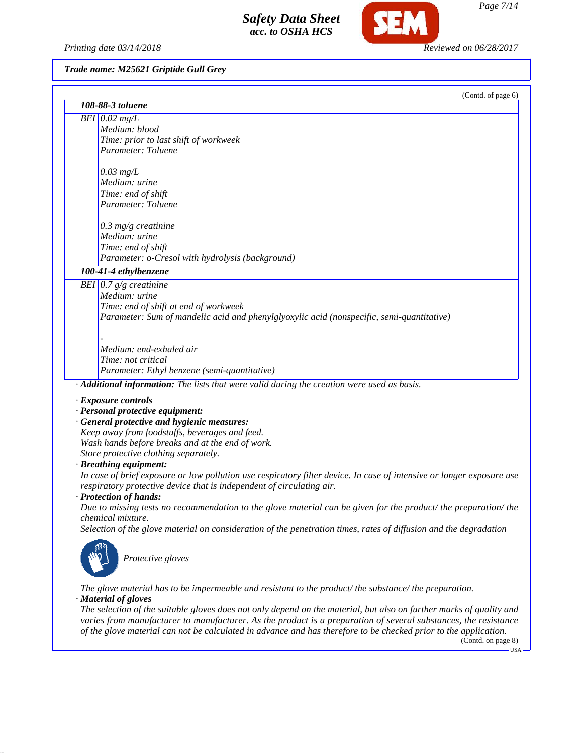*Printing date 03/14/2018 Reviewed on 06/28/2017*

**SEM** 

# *Trade name: M25621 Griptide Gull Grey*

|                                                                                                 | (Contd. of page 6)                                                                                                                                                                                                                     |
|-------------------------------------------------------------------------------------------------|----------------------------------------------------------------------------------------------------------------------------------------------------------------------------------------------------------------------------------------|
| 108-88-3 toluene                                                                                |                                                                                                                                                                                                                                        |
| BEI $0.02$ mg/L                                                                                 |                                                                                                                                                                                                                                        |
| Medium: blood                                                                                   |                                                                                                                                                                                                                                        |
| Time: prior to last shift of workweek                                                           |                                                                                                                                                                                                                                        |
| Parameter: Toluene                                                                              |                                                                                                                                                                                                                                        |
|                                                                                                 |                                                                                                                                                                                                                                        |
| $0.03$ mg/L                                                                                     |                                                                                                                                                                                                                                        |
| Medium: urine                                                                                   |                                                                                                                                                                                                                                        |
| Time: end of shift                                                                              |                                                                                                                                                                                                                                        |
| Parameter: Toluene                                                                              |                                                                                                                                                                                                                                        |
|                                                                                                 |                                                                                                                                                                                                                                        |
| $0.3$ mg/g creatinine<br>Medium: urine                                                          |                                                                                                                                                                                                                                        |
|                                                                                                 |                                                                                                                                                                                                                                        |
| Time: end of shift<br>Parameter: o-Cresol with hydrolysis (background)                          |                                                                                                                                                                                                                                        |
|                                                                                                 |                                                                                                                                                                                                                                        |
| 100-41-4 ethylbenzene                                                                           |                                                                                                                                                                                                                                        |
| BEI $0.7 g/g$ creatinine                                                                        |                                                                                                                                                                                                                                        |
| Medium: urine                                                                                   |                                                                                                                                                                                                                                        |
| Time: end of shift at end of workweek                                                           |                                                                                                                                                                                                                                        |
|                                                                                                 | Parameter: Sum of mandelic acid and phenylglyoxylic acid (nonspecific, semi-quantitative)                                                                                                                                              |
|                                                                                                 |                                                                                                                                                                                                                                        |
| Medium: end-exhaled air                                                                         |                                                                                                                                                                                                                                        |
| Time: not critical                                                                              |                                                                                                                                                                                                                                        |
| Parameter: Ethyl benzene (semi-quantitative)                                                    |                                                                                                                                                                                                                                        |
|                                                                                                 | · Additional information: The lists that were valid during the creation were used as basis.                                                                                                                                            |
|                                                                                                 |                                                                                                                                                                                                                                        |
| · Exposure controls                                                                             |                                                                                                                                                                                                                                        |
| · Personal protective equipment:                                                                |                                                                                                                                                                                                                                        |
| · General protective and hygienic measures:                                                     |                                                                                                                                                                                                                                        |
| Keep away from foodstuffs, beverages and feed.                                                  |                                                                                                                                                                                                                                        |
| Wash hands before breaks and at the end of work.                                                |                                                                                                                                                                                                                                        |
| Store protective clothing separately.                                                           |                                                                                                                                                                                                                                        |
| · Breathing equipment:                                                                          |                                                                                                                                                                                                                                        |
|                                                                                                 | In case of brief exposure or low pollution use respiratory filter device. In case of intensive or longer exposure use                                                                                                                  |
| respiratory protective device that is independent of circulating air.<br>· Protection of hands: |                                                                                                                                                                                                                                        |
|                                                                                                 | Due to missing tests no recommendation to the glove material can be given for the product/ the preparation/ the                                                                                                                        |
| chemical mixture.                                                                               |                                                                                                                                                                                                                                        |
|                                                                                                 | Selection of the glove material on consideration of the penetration times, rates of diffusion and the degradation                                                                                                                      |
|                                                                                                 |                                                                                                                                                                                                                                        |
|                                                                                                 |                                                                                                                                                                                                                                        |
| Protective gloves                                                                               |                                                                                                                                                                                                                                        |
|                                                                                                 |                                                                                                                                                                                                                                        |
|                                                                                                 |                                                                                                                                                                                                                                        |
|                                                                                                 | The glove material has to be impermeable and resistant to the product/the substance/the preparation.                                                                                                                                   |
| · Material of gloves                                                                            |                                                                                                                                                                                                                                        |
|                                                                                                 | The selection of the suitable gloves does not only depend on the material, but also on further marks of quality and<br>varies from manufacturer to manufacturer. As the product is a preparation of several substances, the resistance |
|                                                                                                 | of the glove material can not be calculated in advance and has therefore to be checked prior to the application.                                                                                                                       |

(Contd. on page 8)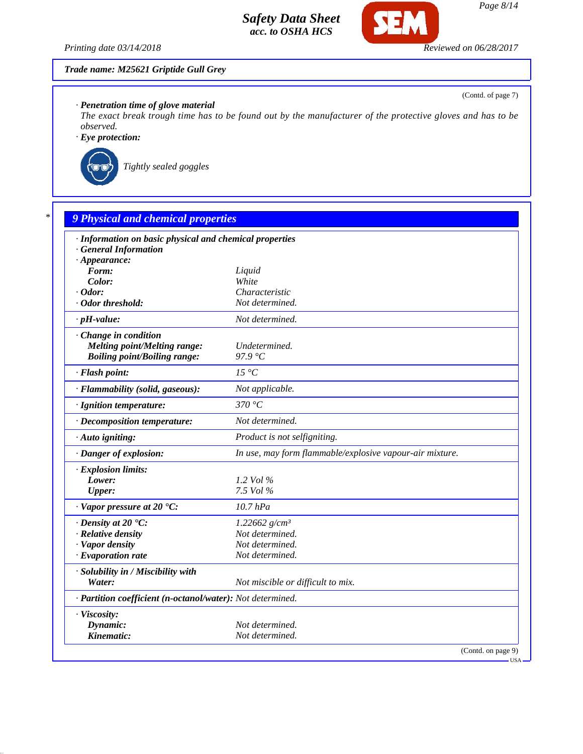

**CF** 

### *Trade name: M25621 Griptide Gull Grey*

*· Penetration time of glove material*

*The exact break trough time has to be found out by the manufacturer of the protective gloves and has to be observed.*

*· Eye protection:*



*Tightly sealed goggles*

|                                                            | · Information on basic physical and chemical properties  |
|------------------------------------------------------------|----------------------------------------------------------|
| <b>General Information</b><br>$\cdot$ Appearance:          |                                                          |
| Form:                                                      | Liquid                                                   |
| Color:                                                     | White                                                    |
| $\cdot$ Odor:                                              | Characteristic                                           |
| · Odor threshold:                                          | Not determined.                                          |
| $\cdot$ pH-value:                                          | Not determined.                                          |
| Change in condition                                        |                                                          |
| <b>Melting point/Melting range:</b>                        | Undetermined.                                            |
| <b>Boiling point/Boiling range:</b>                        | 97.9 $\degree$ C                                         |
| · Flash point:                                             | $15\ ^{\circ}C$                                          |
| · Flammability (solid, gaseous):                           | Not applicable.                                          |
| · Ignition temperature:                                    | 370 °C                                                   |
| · Decomposition temperature:                               | Not determined.                                          |
| · Auto igniting:                                           | Product is not selfigniting.                             |
| · Danger of explosion:                                     | In use, may form flammable/explosive vapour-air mixture. |
| · Explosion limits:                                        |                                                          |
| Lower:                                                     | 1.2 Vol %                                                |
| <b>Upper:</b>                                              | 7.5 Vol %                                                |
| $\cdot$ Vapor pressure at 20 $\cdot$ C:                    | $10.7$ $hPa$                                             |
| $\cdot$ Density at 20 $\textdegree$ C:                     | 1.22662 $g/cm^3$                                         |
| · Relative density                                         | Not determined.                                          |
| · Vapor density                                            | Not determined.                                          |
| · Evaporation rate                                         | Not determined.                                          |
| · Solubility in / Miscibility with                         |                                                          |
| Water:                                                     | Not miscible or difficult to mix.                        |
| · Partition coefficient (n-octanol/water): Not determined. |                                                          |
| · Viscosity:                                               |                                                          |
| Dynamic:                                                   | Not determined.                                          |

(Contd. of page 7)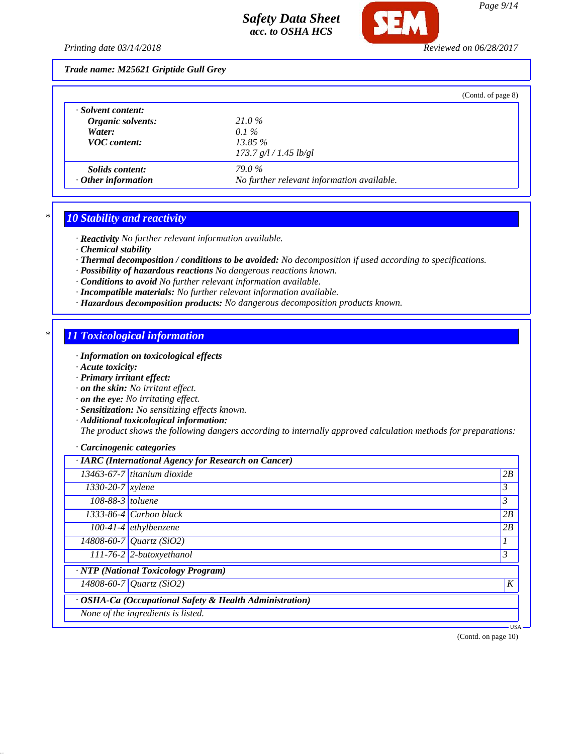

*Trade name: M25621 Griptide Gull Grey*

|                           |                                            | (Contd. of page 8) |
|---------------------------|--------------------------------------------|--------------------|
| · Solvent content:        |                                            |                    |
| Organic solvents:         | 21.0%                                      |                    |
| Water:                    | $0.1\%$                                    |                    |
| <b>VOC</b> content:       | $13.85\%$                                  |                    |
|                           | 173.7 g/l / 1.45 lb/gl                     |                    |
| <i>Solids content:</i>    | <b>79.0%</b>                               |                    |
| $\cdot$ Other information | No further relevant information available. |                    |

## *\* 10 Stability and reactivity*

*· Reactivity No further relevant information available.*

- *· Chemical stability*
- *· Thermal decomposition / conditions to be avoided: No decomposition if used according to specifications.*
- *· Possibility of hazardous reactions No dangerous reactions known.*
- *· Conditions to avoid No further relevant information available.*
- *· Incompatible materials: No further relevant information available.*
- *· Hazardous decomposition products: No dangerous decomposition products known.*

### *\* 11 Toxicological information*

- *· Information on toxicological effects*
- *· Acute toxicity:*
- *· Primary irritant effect:*
- *· on the skin: No irritant effect.*
- *· on the eye: No irritating effect.*
- *· Sensitization: No sensitizing effects known.*
- *· Additional toxicological information:*

*The product shows the following dangers according to internally approved calculation methods for preparations:*

#### *· Carcinogenic categories*

|                               | · IARC (International Agency for Research on Cancer)    |         |
|-------------------------------|---------------------------------------------------------|---------|
|                               | $13463-67-7$ titanium dioxide                           | 2B      |
| $1330 - 20 - 7$ <i>xylene</i> |                                                         | 3       |
| $108-88-3$ toluene            |                                                         | 3       |
|                               | 1333-86-4 Carbon black                                  | 2B      |
|                               | $\overline{100}$ -41-4 ethylbenzene                     | 2B      |
|                               | 14808-60-7 Quartz (SiO2)                                |         |
|                               | $111-76-2$ 2-butoxyethanol                              | 3       |
|                               | $\overline{NTP}$ (National Toxicology Program)          |         |
|                               | $14808 - 60 - 7$ <i>Quartz</i> (SiO2)                   | K       |
|                               | · OSHA-Ca (Occupational Safety & Health Administration) |         |
|                               | None of the ingredients is listed.                      |         |
|                               |                                                         | $USA -$ |

(Contd. on page 10)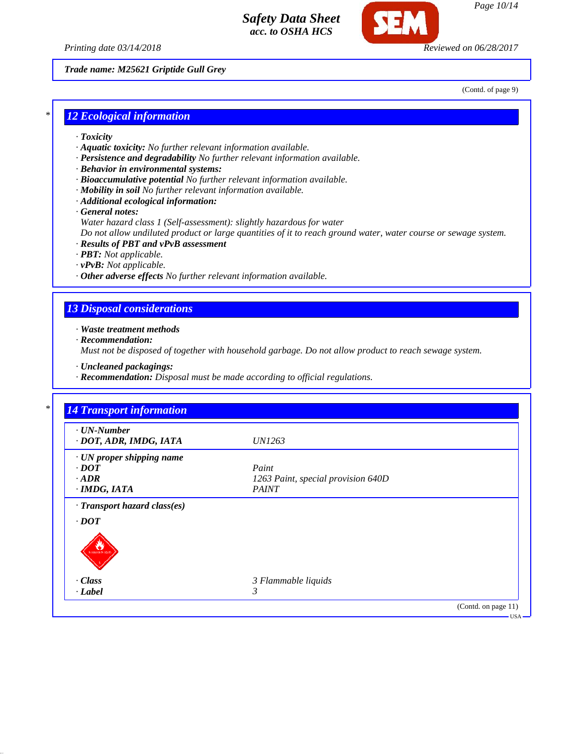



*Page 10/14*

*Trade name: M25621 Griptide Gull Grey*

(Contd. of page 9)

### *\* 12 Ecological information*

- *· Toxicity*
- *· Aquatic toxicity: No further relevant information available.*
- *· Persistence and degradability No further relevant information available.*
- *· Behavior in environmental systems:*
- *· Bioaccumulative potential No further relevant information available.*
- *· Mobility in soil No further relevant information available.*
- *· Additional ecological information:*

*· General notes:*

*Water hazard class 1 (Self-assessment): slightly hazardous for water*

*Do not allow undiluted product or large quantities of it to reach ground water, water course or sewage system.*

- *· Results of PBT and vPvB assessment*
- *· PBT: Not applicable.*
- *· vPvB: Not applicable.*
- *· Other adverse effects No further relevant information available.*

### *13 Disposal considerations*

*· Waste treatment methods*

*· Recommendation:*

*Must not be disposed of together with household garbage. Do not allow product to reach sewage system.*

- *· Uncleaned packagings:*
- *· Recommendation: Disposal must be made according to official regulations.*

| $\cdot$ UN-Number<br>· DOT, ADR, IMDG, IATA          | <i>UN1263</i>                      |  |
|------------------------------------------------------|------------------------------------|--|
|                                                      |                                    |  |
| · UN proper shipping name<br>$\cdot$ DOT             | Paint                              |  |
| $\cdot$ ADR                                          | 1263 Paint, special provision 640D |  |
| $\cdot$ IMDG, IATA                                   | <b>PAINT</b>                       |  |
| $\cdot$ <i>DOT</i><br>100104-5-1010<br>$\cdot$ Class | 3 Flammable liquids                |  |
| $-Label$                                             | 3                                  |  |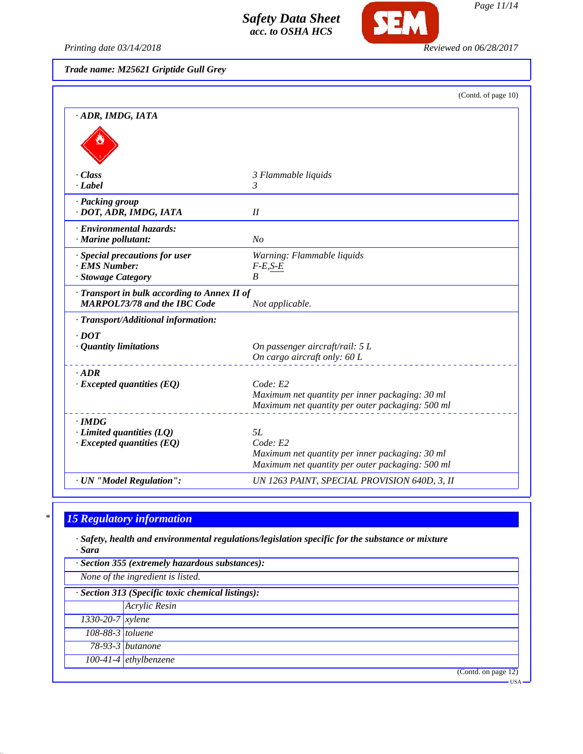

*Printing date 03/14/2018 Reviewed on 06/28/2017*

*Page 11/14*

*Trade name: M25621 Griptide Gull Grey*

|                                                                                     | (Contd. of page 10)                                                                                                   |
|-------------------------------------------------------------------------------------|-----------------------------------------------------------------------------------------------------------------------|
| · ADR, IMDG, IATA                                                                   |                                                                                                                       |
|                                                                                     |                                                                                                                       |
| - Class<br>· Label                                                                  | 3 Flammable liquids<br>3                                                                                              |
| · Packing group<br>· DOT, ADR, IMDG, IATA                                           | II                                                                                                                    |
| · Environmental hazards:<br>$\cdot$ Marine pollutant:                               | N <sub>O</sub>                                                                                                        |
| · Special precautions for user<br>· EMS Number:<br>· Stowage Category               | Warning: Flammable liquids<br>$F-E, S-E$<br>$\boldsymbol{B}$                                                          |
| · Transport in bulk according to Annex II of<br><b>MARPOL73/78 and the IBC Code</b> | Not applicable.                                                                                                       |
| · Transport/Additional information:                                                 |                                                                                                                       |
| $\cdot$ DOT<br>· Quantity limitations                                               | On passenger aircraft/rail: 5 L<br>On cargo aircraft only: 60 L                                                       |
| $·$ <i>ADR</i><br>$\cdot$ Excepted quantities (EQ)                                  | Code: E2<br>Maximum net quantity per inner packaging: 30 ml<br>Maximum net quantity per outer packaging: 500 ml       |
| $\cdot$ IMDG<br>$\cdot$ Limited quantities (LQ)<br>$\cdot$ Excepted quantities (EQ) | 5L<br>Code: E2<br>Maximum net quantity per inner packaging: 30 ml<br>Maximum net quantity per outer packaging: 500 ml |
| · UN "Model Regulation":                                                            | UN 1263 PAINT, SPECIAL PROVISION 640D, 3, II                                                                          |

# *\* 15 Regulatory information*

*· Safety, health and environmental regulations/legislation specific for the substance or mixture · Sara*

| · Section 355 (extremely hazardous substances):                                        |                                  |  |
|----------------------------------------------------------------------------------------|----------------------------------|--|
| None of the ingredient is listed.<br>· Section 313 (Specific toxic chemical listings): |                                  |  |
|                                                                                        |                                  |  |
| $1330 - 20 - 7$ <i>xylene</i>                                                          |                                  |  |
| 108-88-3 toluene                                                                       |                                  |  |
|                                                                                        | 78-93-3 butanone                 |  |
|                                                                                        | $100-41-4$ ethylbenzene          |  |
|                                                                                        | $\overline{(Contd. on page 12)}$ |  |
|                                                                                        | <b>USA</b>                       |  |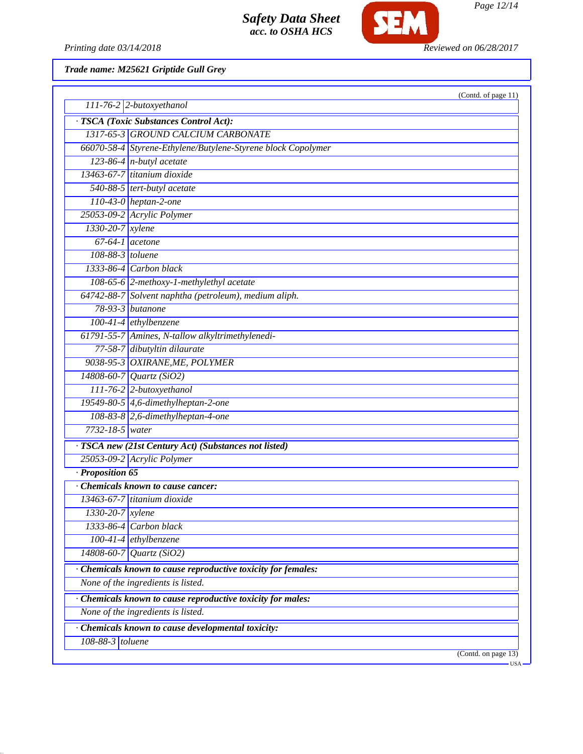

*Page 12/14*

Printing date 03/14/2018 **Reviewed on 06/28/2017** 

*Trade name: M25621 Griptide Gull Grey*

| $111-76-2$ 2-butoxyethanol                                   | (Contd. of page 11) |
|--------------------------------------------------------------|---------------------|
|                                                              |                     |
| · TSCA (Toxic Substances Control Act):                       |                     |
| 1317-65-3 GROUND CALCIUM CARBONATE                           |                     |
| 66070-58-4 Styrene-Ethylene/Butylene-Styrene block Copolymer |                     |
| $123-86-4$ n-butyl acetate                                   |                     |
| 13463-67-7 titanium dioxide                                  |                     |
| 540-88-5 tert-butyl acetate                                  |                     |
| $110-43-0$ heptan-2-one                                      |                     |
| 25053-09-2 Acrylic Polymer                                   |                     |
| 1330-20-7 xylene                                             |                     |
| $67-64-1$ acetone                                            |                     |
| 108-88-3 toluene                                             |                     |
| $1333-86-4$ Carbon black                                     |                     |
| 108-65-6 2-methoxy-1-methylethyl acetate                     |                     |
| 64742-88-7 Solvent naphtha (petroleum), medium aliph.        |                     |
| $78-93-3$ butanone                                           |                     |
| $100-41-4$ ethylbenzene                                      |                     |
| 61791-55-7 Amines, N-tallow alkyltrimethylenedi-             |                     |
| 77-58-7 dibutyltin dilaurate                                 |                     |
| 9038-95-3 OXIRANE, ME, POLYMER                               |                     |
| 14808-60-7 Quartz (SiO2)                                     |                     |
| 111-76-2 2-butoxyethanol                                     |                     |
| 19549-80-5 4,6-dimethylheptan-2-one                          |                     |
| $108-83-8$ 2,6-dimethylheptan-4-one                          |                     |
| 7732-18-5 water                                              |                     |
| · TSCA new (21st Century Act) (Substances not listed)        |                     |
| 25053-09-2 Acrylic Polymer                                   |                     |
| · Proposition 65                                             |                     |
| Chemicals known to cause cancer:                             |                     |
| 13463-67-7 titanium dioxide                                  |                     |
| 1330-20-7 xylene                                             |                     |
| 1333-86-4 Carbon black                                       |                     |
| $100-41-4$ ethylbenzene                                      |                     |
| 14808-60-7 Quartz (SiO2)                                     |                     |
| Chemicals known to cause reproductive toxicity for females:  |                     |
| None of the ingredients is listed.                           |                     |
| Chemicals known to cause reproductive toxicity for males:    |                     |
| None of the ingredients is listed.                           |                     |
| Chemicals known to cause developmental toxicity:             |                     |
| 108-88-3 toluene                                             |                     |
|                                                              | (Contd. on page 13) |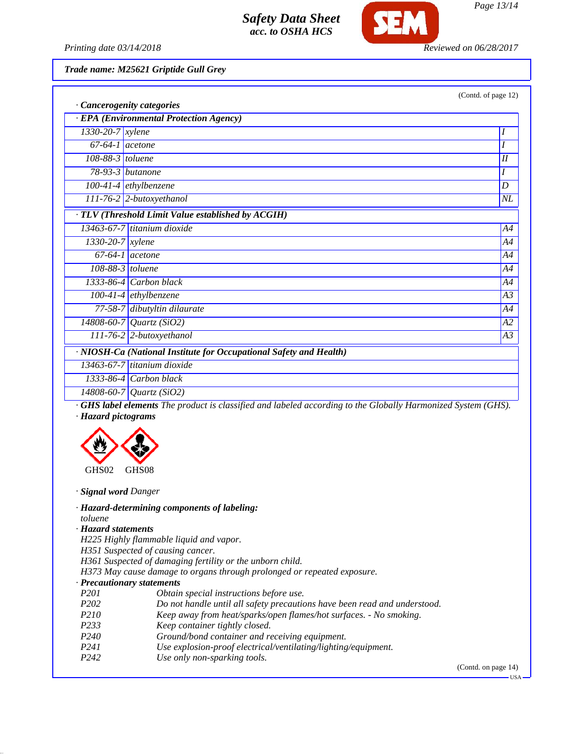

*Page 13/14*

*Printing date 03/14/2018 Reviewed on 06/28/2017*

*Trade name: M25621 Griptide Gull Grey*

|                        | <b>Cancerogenity categories</b>                  | (Contd. of page 1) |  |
|------------------------|--------------------------------------------------|--------------------|--|
|                        | <b>EPA</b> (Environmental Protection Agency)     |                    |  |
| $1330 - 20 - 7$ xylene |                                                  |                    |  |
| $67-64-1$ acetone      |                                                  |                    |  |
| $108-88-3$ toluene     |                                                  | I                  |  |
|                        | $78-93-3$ butanone                               |                    |  |
|                        | $100-41-4$ ethylbenzene                          | D                  |  |
|                        | $111-76-2$ 2-butoxyethanol                       | $N\!L$             |  |
|                        | TLV (Threshold Limit Value established by ACGIH) |                    |  |
|                        | 13463-67-7 titanium dioxide                      | A4                 |  |
| $1330 - 20 - 7$ xylene |                                                  | A4                 |  |
|                        | $67-64-1$ acetone                                | A4                 |  |
|                        | $108-88-3$ toluene                               | A4                 |  |
|                        | 1333-86-4 Carbon black                           | A4                 |  |
|                        | $100-41-4$ ethylbenzene                          | A <sub>3</sub>     |  |
|                        | 77-58-7 dibutyltin dilaurate                     | A4                 |  |
|                        | $14808 - 60 - 7$ Quartz (SiO2)                   | A2                 |  |

*· NIOSH-Ca (National Institute for Occupational Safety and Health) 13463-67-7 titanium dioxide 1333-86-4 Carbon black*

*14808-60-7 Quartz (SiO2)*

*· GHS label elements The product is classified and labeled according to the Globally Harmonized System (GHS). · Hazard pictograms*

*111-76-2 2-butoxyethanol A3*



*· Signal word Danger*

*· Hazard-determining components of labeling:*

*toluene*

*· Hazard statements*

*H225 Highly flammable liquid and vapor.*

*H351 Suspected of causing cancer.*

*H361 Suspected of damaging fertility or the unborn child.*

*H373 May cause damage to organs through prolonged or repeated exposure.*

#### *· Precautionary statements*

- *P201 Obtain special instructions before use.*
- *P202 Do not handle until all safety precautions have been read and understood.*
- *P210 Keep away from heat/sparks/open flames/hot surfaces. No smoking.*
- *P233 Keep container tightly closed.*
- *P240 Ground/bond container and receiving equipment.*
- *P241 Use explosion-proof electrical/ventilating/lighting/equipment.*
- *P242 Use only non-sparking tools.*

(Contd. on page 14)

page 12)

USA